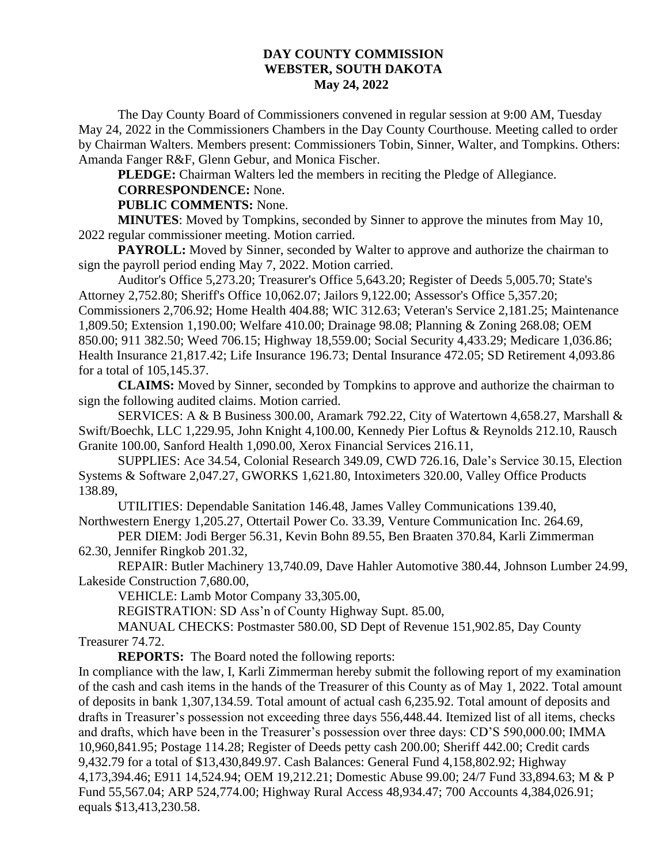## **DAY COUNTY COMMISSION WEBSTER, SOUTH DAKOTA May 24, 2022**

The Day County Board of Commissioners convened in regular session at 9:00 AM, Tuesday May 24, 2022 in the Commissioners Chambers in the Day County Courthouse. Meeting called to order by Chairman Walters. Members present: Commissioners Tobin, Sinner, Walter, and Tompkins. Others: Amanda Fanger R&F, Glenn Gebur, and Monica Fischer.

**PLEDGE:** Chairman Walters led the members in reciting the Pledge of Allegiance.

**CORRESPONDENCE:** None.

## **PUBLIC COMMENTS:** None.

**MINUTES**: Moved by Tompkins, seconded by Sinner to approve the minutes from May 10, 2022 regular commissioner meeting. Motion carried.

**PAYROLL:** Moved by Sinner, seconded by Walter to approve and authorize the chairman to sign the payroll period ending May 7, 2022. Motion carried.

Auditor's Office 5,273.20; Treasurer's Office 5,643.20; Register of Deeds 5,005.70; State's Attorney 2,752.80; Sheriff's Office 10,062.07; Jailors 9,122.00; Assessor's Office 5,357.20; Commissioners 2,706.92; Home Health 404.88; WIC 312.63; Veteran's Service 2,181.25; Maintenance 1,809.50; Extension 1,190.00; Welfare 410.00; Drainage 98.08; Planning & Zoning 268.08; OEM 850.00; 911 382.50; Weed 706.15; Highway 18,559.00; Social Security 4,433.29; Medicare 1,036.86; Health Insurance 21,817.42; Life Insurance 196.73; Dental Insurance 472.05; SD Retirement 4,093.86 for a total of 105,145.37.

**CLAIMS:** Moved by Sinner, seconded by Tompkins to approve and authorize the chairman to sign the following audited claims. Motion carried.

SERVICES: A & B Business 300.00, Aramark 792.22, City of Watertown 4,658.27, Marshall & Swift/Boechk, LLC 1,229.95, John Knight 4,100.00, Kennedy Pier Loftus & Reynolds 212.10, Rausch Granite 100.00, Sanford Health 1,090.00, Xerox Financial Services 216.11,

SUPPLIES: Ace 34.54, Colonial Research 349.09, CWD 726.16, Dale's Service 30.15, Election Systems & Software 2,047.27, GWORKS 1,621.80, Intoximeters 320.00, Valley Office Products 138.89,

UTILITIES: Dependable Sanitation 146.48, James Valley Communications 139.40, Northwestern Energy 1,205.27, Ottertail Power Co. 33.39, Venture Communication Inc. 264.69,

PER DIEM: Jodi Berger 56.31, Kevin Bohn 89.55, Ben Braaten 370.84, Karli Zimmerman 62.30, Jennifer Ringkob 201.32,

REPAIR: Butler Machinery 13,740.09, Dave Hahler Automotive 380.44, Johnson Lumber 24.99, Lakeside Construction 7,680.00,

VEHICLE: Lamb Motor Company 33,305.00,

REGISTRATION: SD Ass'n of County Highway Supt. 85.00,

MANUAL CHECKS: Postmaster 580.00, SD Dept of Revenue 151,902.85, Day County Treasurer 74.72.

**REPORTS:** The Board noted the following reports:

In compliance with the law, I, Karli Zimmerman hereby submit the following report of my examination of the cash and cash items in the hands of the Treasurer of this County as of May 1, 2022. Total amount of deposits in bank 1,307,134.59. Total amount of actual cash 6,235.92. Total amount of deposits and drafts in Treasurer's possession not exceeding three days 556,448.44. Itemized list of all items, checks and drafts, which have been in the Treasurer's possession over three days: CD'S 590,000.00; IMMA 10,960,841.95; Postage 114.28; Register of Deeds petty cash 200.00; Sheriff 442.00; Credit cards 9,432.79 for a total of \$13,430,849.97. Cash Balances: General Fund 4,158,802.92; Highway 4,173,394.46; E911 14,524.94; OEM 19,212.21; Domestic Abuse 99.00; 24/7 Fund 33,894.63; M & P Fund 55,567.04; ARP 524,774.00; Highway Rural Access 48,934.47; 700 Accounts 4,384,026.91; equals \$13,413,230.58.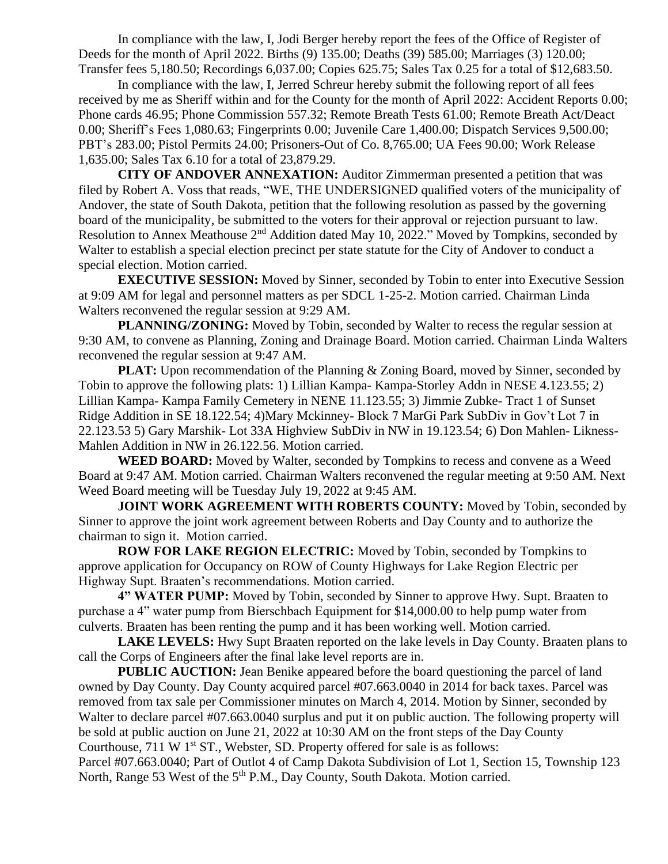In compliance with the law, I, Jodi Berger hereby report the fees of the Office of Register of Deeds for the month of April 2022. Births (9) 135.00; Deaths (39) 585.00; Marriages (3) 120.00; Transfer fees 5,180.50; Recordings 6,037.00; Copies 625.75; Sales Tax 0.25 for a total of \$12,683.50.

In compliance with the law, I, Jerred Schreur hereby submit the following report of all fees received by me as Sheriff within and for the County for the month of April 2022: Accident Reports 0.00; Phone cards 46.95; Phone Commission 557.32; Remote Breath Tests 61.00; Remote Breath Act/Deact 0.00; Sheriff's Fees 1,080.63; Fingerprints 0.00; Juvenile Care 1,400.00; Dispatch Services 9,500.00; PBT's 283.00; Pistol Permits 24.00; Prisoners-Out of Co. 8,765.00; UA Fees 90.00; Work Release 1,635.00; Sales Tax 6.10 for a total of 23,879.29.

**CITY OF ANDOVER ANNEXATION:** Auditor Zimmerman presented a petition that was filed by Robert A. Voss that reads, "WE, THE UNDERSIGNED qualified voters of the municipality of Andover, the state of South Dakota, petition that the following resolution as passed by the governing board of the municipality, be submitted to the voters for their approval or rejection pursuant to law. Resolution to Annex Meathouse 2<sup>nd</sup> Addition dated May 10, 2022." Moved by Tompkins, seconded by Walter to establish a special election precinct per state statute for the City of Andover to conduct a special election. Motion carried.

**EXECUTIVE SESSION:** Moved by Sinner, seconded by Tobin to enter into Executive Session at 9:09 AM for legal and personnel matters as per SDCL 1-25-2. Motion carried. Chairman Linda Walters reconvened the regular session at 9:29 AM.

**PLANNING/ZONING:** Moved by Tobin, seconded by Walter to recess the regular session at 9:30 AM, to convene as Planning, Zoning and Drainage Board. Motion carried. Chairman Linda Walters reconvened the regular session at 9:47 AM.

**PLAT:** Upon recommendation of the Planning & Zoning Board, moved by Sinner, seconded by Tobin to approve the following plats: 1) Lillian Kampa- Kampa-Storley Addn in NESE 4.123.55; 2) Lillian Kampa- Kampa Family Cemetery in NENE 11.123.55; 3) Jimmie Zubke- Tract 1 of Sunset Ridge Addition in SE 18.122.54; 4)Mary Mckinney- Block 7 MarGi Park SubDiv in Gov't Lot 7 in 22.123.53 5) Gary Marshik- Lot 33A Highview SubDiv in NW in 19.123.54; 6) Don Mahlen- Likness-Mahlen Addition in NW in 26.122.56. Motion carried.

**WEED BOARD:** Moved by Walter, seconded by Tompkins to recess and convene as a Weed Board at 9:47 AM. Motion carried. Chairman Walters reconvened the regular meeting at 9:50 AM. Next Weed Board meeting will be Tuesday July 19, 2022 at 9:45 AM.

**JOINT WORK AGREEMENT WITH ROBERTS COUNTY:** Moved by Tobin, seconded by Sinner to approve the joint work agreement between Roberts and Day County and to authorize the chairman to sign it. Motion carried.

**ROW FOR LAKE REGION ELECTRIC:** Moved by Tobin, seconded by Tompkins to approve application for Occupancy on ROW of County Highways for Lake Region Electric per Highway Supt. Braaten's recommendations. Motion carried.

**4" WATER PUMP:** Moved by Tobin, seconded by Sinner to approve Hwy. Supt. Braaten to purchase a 4" water pump from Bierschbach Equipment for \$14,000.00 to help pump water from culverts. Braaten has been renting the pump and it has been working well. Motion carried.

LAKE LEVELS: Hwy Supt Braaten reported on the lake levels in Day County. Braaten plans to call the Corps of Engineers after the final lake level reports are in.

**PUBLIC AUCTION:** Jean Benike appeared before the board questioning the parcel of land owned by Day County. Day County acquired parcel #07.663.0040 in 2014 for back taxes. Parcel was removed from tax sale per Commissioner minutes on March 4, 2014. Motion by Sinner, seconded by Walter to declare parcel #07.663.0040 surplus and put it on public auction. The following property will be sold at public auction on June 21, 2022 at 10:30 AM on the front steps of the Day County Courthouse,  $711 \text{ W } 1^{\text{st}}$  ST., Webster, SD. Property offered for sale is as follows:

Parcel #07.663.0040; Part of Outlot 4 of Camp Dakota Subdivision of Lot 1, Section 15, Township 123 North, Range 53 West of the 5<sup>th</sup> P.M., Day County, South Dakota. Motion carried.